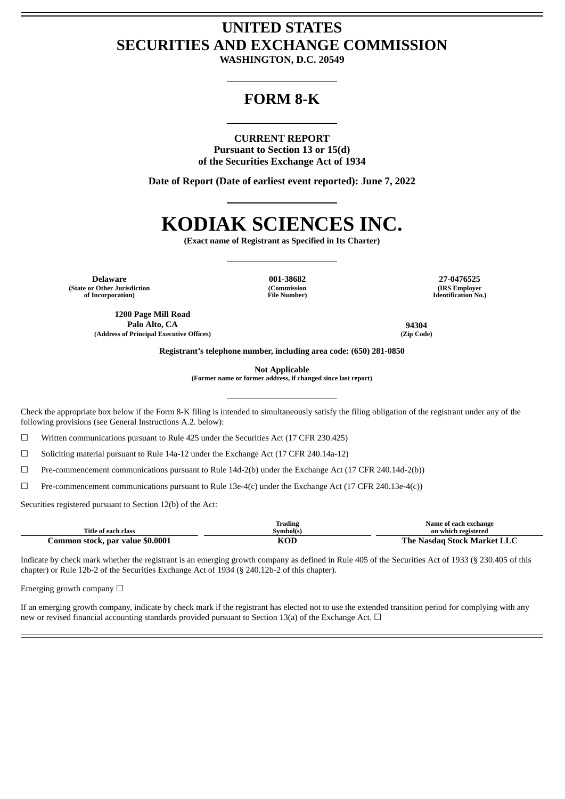## **UNITED STATES SECURITIES AND EXCHANGE COMMISSION**

**WASHINGTON, D.C. 20549**

### **FORM 8-K**

### **CURRENT REPORT**

**Pursuant to Section 13 or 15(d) of the Securities Exchange Act of 1934**

**Date of Report (Date of earliest event reported): June 7, 2022**

# **KODIAK SCIENCES INC.**

**(Exact name of Registrant as Specified in Its Charter)**

**Delaware 001-38682 27-0476525 (State or Other Jurisdiction of Incorporation)**

**(Commission File Number)**

**(IRS Employer Identification No.)**

**1200 Page Mill Road Palo Alto, CA 94304 (Address of Principal Executive Offices) (Zip Code)**

**Registrant's telephone number, including area code: (650) 281-0850**

**Not Applicable**

**(Former name or former address, if changed since last report)**

Check the appropriate box below if the Form 8-K filing is intended to simultaneously satisfy the filing obligation of the registrant under any of the following provisions (see General Instructions A.2. below):

☐ Written communications pursuant to Rule 425 under the Securities Act (17 CFR 230.425)

☐ Soliciting material pursuant to Rule 14a-12 under the Exchange Act (17 CFR 240.14a-12)

☐ Pre-commencement communications pursuant to Rule 14d-2(b) under the Exchange Act (17 CFR 240.14d-2(b))

 $\Box$  Pre-commencement communications pursuant to Rule 13e-4(c) under the Exchange Act (17 CFR 240.13e-4(c))

Securities registered pursuant to Section 12(b) of the Act:

|                                  | Trading    | Name of each exchange       |
|----------------------------------|------------|-----------------------------|
| Title of each class              | Symbol(s)  | on which registered         |
| Common stock, par value \$0.0001 | <b>KOL</b> | The Nasdag Stock Market LLC |

Indicate by check mark whether the registrant is an emerging growth company as defined in Rule 405 of the Securities Act of 1933 (§ 230.405 of this chapter) or Rule 12b-2 of the Securities Exchange Act of 1934 (§ 240.12b-2 of this chapter).

Emerging growth company  $\Box$ 

If an emerging growth company, indicate by check mark if the registrant has elected not to use the extended transition period for complying with any new or revised financial accounting standards provided pursuant to Section 13(a) of the Exchange Act.  $\Box$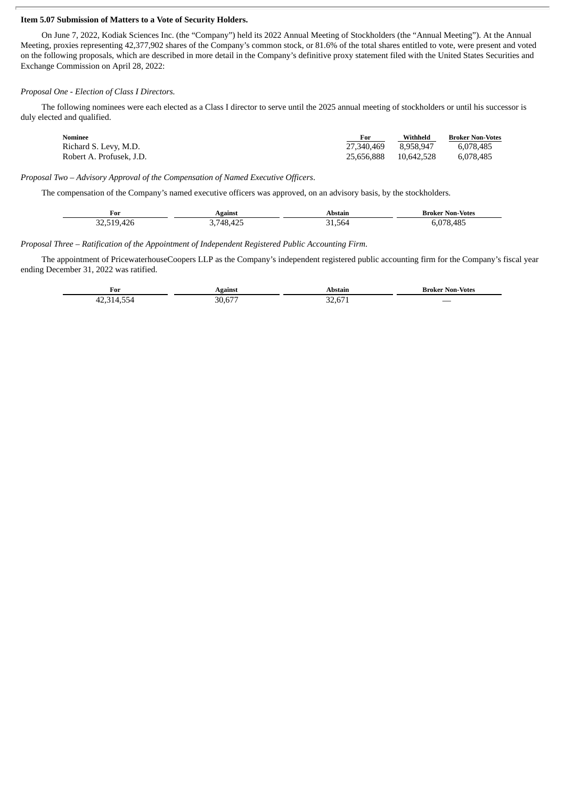#### **Item 5.07 Submission of Matters to a Vote of Security Holders.**

On June 7, 2022, Kodiak Sciences Inc. (the "Company") held its 2022 Annual Meeting of Stockholders (the "Annual Meeting"). At the Annual Meeting, proxies representing 42,377,902 shares of the Company's common stock, or 81.6% of the total shares entitled to vote, were present and voted on the following proposals, which are described in more detail in the Company's definitive proxy statement filed with the United States Securities and Exchange Commission on April 28, 2022:

### *Proposal One - Election of Class I Directors.*

The following nominees were each elected as a Class I director to serve until the 2025 annual meeting of stockholders or until his successor is duly elected and qualified.

| Nominee                  | For        | Withheld   | <b>Broker Non-Votes</b> |
|--------------------------|------------|------------|-------------------------|
| Richard S. Levy, M.D.    | 27.340.469 | 8.958.947  | 6.078.485               |
| Robert A. Profusek, J.D. | 25.656.888 | 10.642.528 | 6.078.485               |

*Proposal Two – Advisory Approval of the Compensation of Named Executive Officers*.

The compensation of the Company's named executive officers was approved, on an advisory basis, by the stockholders.

| For        | Against                 | Abstain       | Broker Non-Votes |
|------------|-------------------------|---------------|------------------|
| ∽<br>ת∠4.י | $4 \neg P$<br>18<br>445 | - -<br>.1.564 | 370<br>8.485     |

*Proposal Three – Ratification of the Appointment of Independent Registered Public Accounting Firm*.

The appointment of PricewaterhouseCoopers LLP as the Company's independent registered public accounting firm for the Company's fiscal year ending December 31, 2022 was ratified.

| For<br>____ | eainst                           |                                       | Non-Votes<br>iroker |
|-------------|----------------------------------|---------------------------------------|---------------------|
| --          | $\sim$ $\sim$ $\sim$<br>חר<br>`` | $\sim$ $\sim$<br>$\sim$ $\sim$<br>. . |                     |